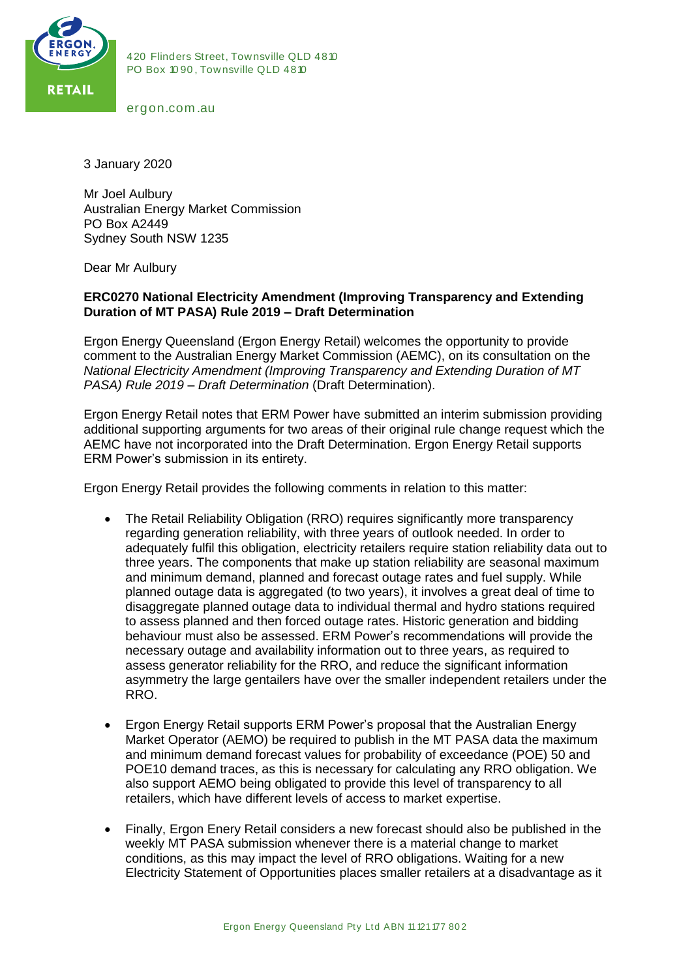

420 Flinders Street, Townsville QLD 4810<br>PO Box 1090, Townsville QLD 4810 420 Flinders Street, Townsville QLI<br>PO Box 1090, Townsville QLD 4810 PO Box 1090, Townsville QLD 4810<br>ergon.com.au

3 January 2020

Mr Joel Aulbury Australian Energy Market Commission PO Box A2449 Sydney South NSW 1235

Dear Mr Aulbury

## **ERC0270 National Electricity Amendment (Improving Transparency and Extending Duration of MT PASA) Rule 2019 – Draft Determination**

Ergon Energy Queensland (Ergon Energy Retail) welcomes the opportunity to provide comment to the Australian Energy Market Commission (AEMC), on its consultation on the *National Electricity Amendment (Improving Transparency and Extending Duration of MT PASA) Rule 2019 – Draft Determination* (Draft Determination).

Ergon Energy Retail notes that ERM Power have submitted an interim submission providing additional supporting arguments for two areas of their original rule change request which the AEMC have not incorporated into the Draft Determination. Ergon Energy Retail supports ERM Power's submission in its entirety.

Ergon Energy Retail provides the following comments in relation to this matter:

- The Retail Reliability Obligation (RRO) requires significantly more transparency regarding generation reliability, with three years of outlook needed. In order to adequately fulfil this obligation, electricity retailers require station reliability data out to three years. The components that make up station reliability are seasonal maximum and minimum demand, planned and forecast outage rates and fuel supply. While planned outage data is aggregated (to two years), it involves a great deal of time to disaggregate planned outage data to individual thermal and hydro stations required to assess planned and then forced outage rates. Historic generation and bidding behaviour must also be assessed. ERM Power's recommendations will provide the necessary outage and availability information out to three years, as required to assess generator reliability for the RRO, and reduce the significant information asymmetry the large gentailers have over the smaller independent retailers under the RRO.
- Ergon Energy Retail supports ERM Power's proposal that the Australian Energy Market Operator (AEMO) be required to publish in the MT PASA data the maximum and minimum demand forecast values for probability of exceedance (POE) 50 and POE10 demand traces, as this is necessary for calculating any RRO obligation. We also support AEMO being obligated to provide this level of transparency to all retailers, which have different levels of access to market expertise.
- Ergon Energy Queensland Pty Ltd ABN 11 121 177 802 • Finally, Ergon Enery Retail considers a new forecast should also be published in the weekly MT PASA submission whenever there is a material change to market conditions, as this may impact the level of RRO obligations. Waiting for a new Electricity Statement of Opportunities places smaller retailers at a disadvantage as it